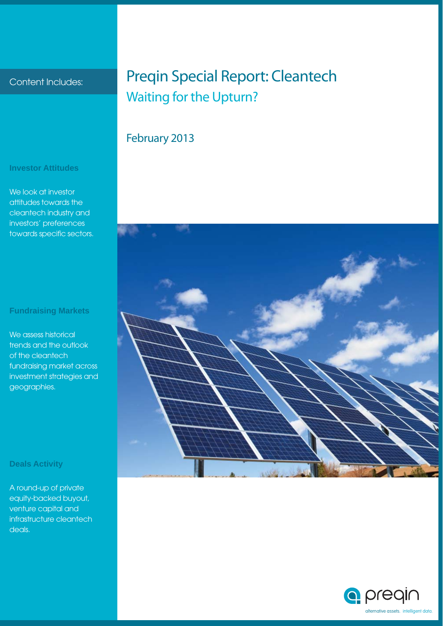#### Content Includes:

### Preqin Special Report: Cleantech Waiting for the Upturn?

### February 2013



### **Investor Attitudes**

We look at investor attitudes towards the cleantech industry and investors' preferences towards specific sectors.

#### **Fundraising Markets**

We assess historical trends and the outlook of the cleantech fundraising market across investment strategies and geographies.

#### **Deals Activity**

A round-up of private equity-backed buyout, venture capital and infrastructure cleantech deals.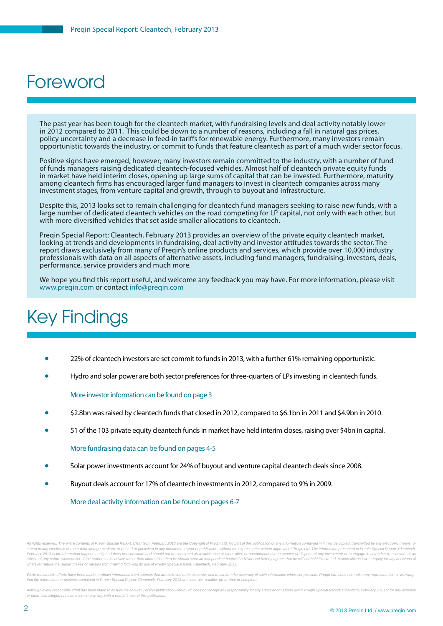### Foreword

The past year has been tough for the cleantech market, with fundraising levels and deal activity notably lower in 2012 compared to 2011. This could be down to a number of reasons, including a fall in natural gas prices, policy uncertainty and a decrease in feed-in tariffs for renewable energy. Furthermore, many investors remain opportunistic towards the industry, or commit to funds that feature cleantech as part of a much wider sector focus.

Positive signs have emerged, however; many investors remain committed to the industry, with a number of fund of funds managers raising dedicated cleantech-focused vehicles. Almost half of cleantech private equity funds in market have held interim closes, opening up large sums of capital that can be invested. Furthermore, maturity among cleantech firms has encouraged larger fund managers to invest in cleantech companies across many investment stages, from venture capital and growth, through to buyout and infrastructure.

Despite this, 2013 looks set to remain challenging for cleantech fund managers seeking to raise new funds, with a large number of dedicated cleantech vehicles on the road competing for LP capital, not only with each other, but with more diversified vehicles that set aside smaller allocations to cleantech.

Preqin Special Report: Cleantech, February 2013 provides an overview of the private equity cleantech market, looking at trends and developments in fundraising, deal activity and investor attitudes towards the sector. The report draws exclusively from many of Preqin's online products and services, which provide over 10,000 industry professionals with data on all aspects of alternative assets, including fund managers, fundraising, investors, deals, performance, service providers and much more.

We hope you find this report useful, and welcome any feedback you may have. For more information, please visit www.preqin.com or contact info@preqin.com

# Key Findings

- 22% of cleantech investors are set commit to funds in 2013, with a further 61% remaining opportunistic.
- Hydro and solar power are both sector preferences for three-quarters of LPs investing in cleantech funds.

More investor information can be found on page 3

- \$2.8bn was raised by cleantech funds that closed in 2012, compared to \$6.1bn in 2011 and \$4.9bn in 2010.
- 51 of the 103 private equity cleantech funds in market have held interim closes, raising over \$4bn in capital.

More fundraising data can be found on pages 4-5

- Solar power investments account for 24% of buyout and venture capital cleantech deals since 2008.
- Buyout deals account for 17% of cleantech investments in 2012, compared to 9% in 2009.

More deal activity information can be found on pages 6-7

All rights reserved. The entire contents of Pregin Special Report: Cleantech, February 2013 are the Convright of Pregin Ltd. No part of this publication or any information contained in it may be conjed, transmitted by any stored in any electronic or other data storage medium, or printed or published in any document, report or publication, without the express prior written approval of Preqin Ltd. The information presented in Preqin Special R February 2013 is for information purposes only and does not constitute and should not be construed as a solicitation or other offer, or recommendation to acquire or dispose of any investment or to engage in any other trans advice of any nature whatsoever. If the reader seeks advice rather than information then he should seek an independent financial advisor and hereby agrees that he will not hold Pregin Ltd. responsible in law or equity for *whatever nature the reader makes or refrains from making following its use of Preqin Special Report: Cleantech, February 2013.*

While reasonable efforts have been made to obtain information from sources that are believed to be accurate, and to confirm the accuracy of such information wherever possible. Pregin Ltd, does not make any representation o *that the information or opinions contained in Preqin Special Report: Cleantech, February 2013 are accurate, reliable, up-to-date or complete.*

Although every reasonable effort has been made to ensure the accuracy of this publication Pregin Ltd. does not accept any responsibility for any errors or omissions within Pregin Special Report: Cleantech, February 2013 or *or other loss alleged to have arisen in any way with a reader's use of this publication.*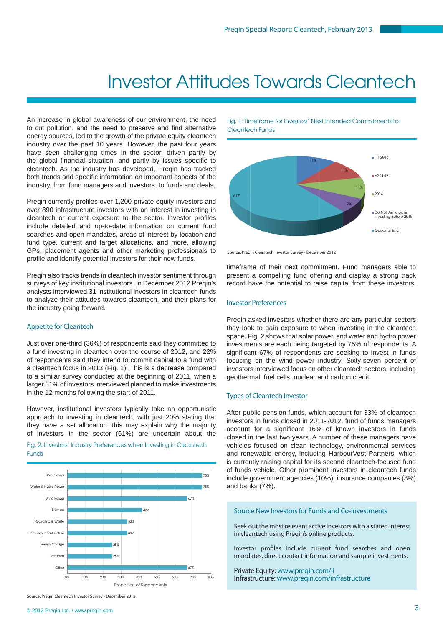### Investor Attitudes Towards Cleantech

An increase in global awareness of our environment, the need to cut pollution, and the need to preserve and find alternative energy sources, led to the growth of the private equity cleantech industry over the past 10 years. However, the past four years have seen challenging times in the sector, driven partly by the global financial situation, and partly by issues specific to cleantech. As the industry has developed, Preqin has tracked both trends and specific information on important aspects of the industry, from fund managers and investors, to funds and deals.

Preqin currently profiles over 1,200 private equity investors and over 890 infrastructure investors with an interest in investing in cleantech or current exposure to the sector. Investor profiles include detailed and up-to-date information on current fund searches and open mandates, areas of interest by location and fund type, current and target allocations, and more, allowing GPs, placement agents and other marketing professionals to profile and identify potential investors for their new funds.

Preqin also tracks trends in cleantech investor sentiment through surveys of key institutional investors. In December 2012 Preqin's analysts interviewed 31 institutional investors in cleantech funds to analyze their attitudes towards cleantech, and their plans for the industry going forward.

#### Appetite for Cleantech

Just over one-third (36%) of respondents said they committed to a fund investing in cleantech over the course of 2012, and 22% of respondents said they intend to commit capital to a fund with a cleantech focus in 2013 (Fig. 1). This is a decrease compared to a similar survey conducted at the beginning of 2011, when a larger 31% of investors interviewed planned to make investments in the 12 months following the start of 2011.

However, institutional investors typically take an opportunistic approach to investing in cleantech, with just 20% stating that they have a set allocation; this may explain why the majority of investors in the sector (61%) are uncertain about the

Fig. 2: Investors' Industry Preferences when Investing in Cleantech **Funds** 



Fig. 1: Timeframe for Investors' Next Intended Commitments to Cleantech Funds



Source: Preqin Cleantech Investor Survey - December 2012

timeframe of their next commitment. Fund managers able to present a compelling fund offering and display a strong track record have the potential to raise capital from these investors.

#### Investor Preferences

Preqin asked investors whether there are any particular sectors they look to gain exposure to when investing in the cleantech space. Fig. 2 shows that solar power, and water and hydro power investments are each being targeted by 75% of respondents. A significant 67% of respondents are seeking to invest in funds focusing on the wind power industry. Sixty-seven percent of investors interviewed focus on other cleantech sectors, including geothermal, fuel cells, nuclear and carbon credit.

#### Types of Cleantech Investor

After public pension funds, which account for 33% of cleantech investors in funds closed in 2011-2012, fund of funds managers account for a significant 16% of known investors in funds closed in the last two years. A number of these managers have vehicles focused on clean technology, environmental services and renewable energy, including HarbourVest Partners, which is currently raising capital for its second cleantech-focused fund of funds vehicle. Other prominent investors in cleantech funds include government agencies (10%), insurance companies (8%) and banks (7%).

#### Source New Investors for Funds and Co-investments

Seek out the most relevant active investors with a stated interest in cleantech using Preqin's online products.

Investor profiles include current fund searches and open mandates, direct contact information and sample investments.

Private Equity: www.preqin.com/ii Infrastructure: www.preqin.com/infrastructure

Source: Preqin Cleantech Investor Survey - December 2012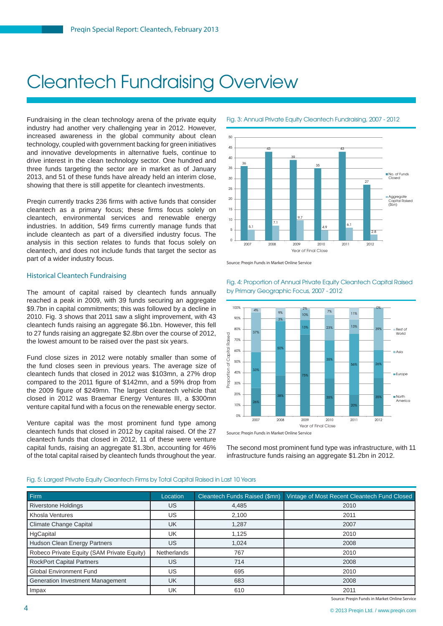# Cleantech Fundraising Overview

Fundraising in the clean technology arena of the private equity industry had another very challenging year in 2012. However, increased awareness in the global community about clean technology, coupled with government backing for green initiatives and innovative developments in alternative fuels, continue to drive interest in the clean technology sector. One hundred and three funds targeting the sector are in market as of January 2013, and 51 of these funds have already held an interim close, showing that there is still appetite for cleantech investments.

Preqin currently tracks 236 firms with active funds that consider cleantech as a primary focus; these firms focus solely on cleantech, environmental services and renewable energy industries. In addition, 549 firms currently manage funds that include cleantech as part of a diversified industry focus. The analysis in this section relates to funds that focus solely on cleantech, and does not include funds that target the sector as part of a wider industry focus.

#### Historical Cleantech Fundraising

The amount of capital raised by cleantech funds annually reached a peak in 2009, with 39 funds securing an aggregate \$9.7bn in capital commitments; this was followed by a decline in 2010. Fig. 3 shows that 2011 saw a slight improvement, with 43 cleantech funds raising an aggregate \$6.1bn. However, this fell to 27 funds raising an aggregate \$2.8bn over the course of 2012, the lowest amount to be raised over the past six years.

Fund close sizes in 2012 were notably smaller than some of the fund closes seen in previous years. The average size of cleantech funds that closed in 2012 was \$103mn, a 27% drop compared to the 2011 figure of \$142mn, and a 59% drop from the 2009 figure of \$249mn. The largest cleantech vehicle that closed in 2012 was Braemar Energy Ventures III, a \$300mn venture capital fund with a focus on the renewable energy sector.

Venture capital was the most prominent fund type among cleantech funds that closed in 2012 by capital raised. Of the 27 cleantech funds that closed in 2012, 11 of these were venture capital funds, raising an aggregate \$1.3bn, accounting for 46% of the total capital raised by cleantech funds throughout the year.



Fig. 3: Annual Private Equity Cleantech Fundraising, 2007 - 2012





Fig. 4: Proportion of Annual Private Equity Cleantech Capital Raised by Primary Geographic Focus, 2007 - 2012

Source: Preqin Funds in Market Online Service

The second most prominent fund type was infrastructure, with 11 infrastructure funds raising an aggregate \$1.2bn in 2012.

#### Fig. 5: Largest Private Equity Cleantech Firms by Total Capital Raised in Last 10 Years

| Firm                                       | Location           | Cleantech Funds Raised (\$mn) | Vintage of Most Recent Cleantech Fund Closed |
|--------------------------------------------|--------------------|-------------------------------|----------------------------------------------|
| <b>Riverstone Holdings</b>                 | US.                | 4,485                         | 2010                                         |
| Khosla Ventures                            | US.                | 2.100                         | 2011                                         |
| Climate Change Capital                     | <b>UK</b>          | 1,287                         | 2007                                         |
| HgCapital                                  | UK                 | 1,125                         | 2010                                         |
| <b>Hudson Clean Energy Partners</b>        | US                 | 1.024                         | 2008                                         |
| Robeco Private Equity (SAM Private Equity) | <b>Netherlands</b> | 767                           | 2010                                         |
| <b>RockPort Capital Partners</b>           | US.                | 714                           | 2008                                         |
| <b>Global Environment Fund</b>             | US                 | 695                           | 2010                                         |
| Generation Investment Management           | <b>UK</b>          | 683                           | 2008                                         |
| Impax                                      | UK                 | 610                           | 2011                                         |

Source: Preqin Funds in Market Online Service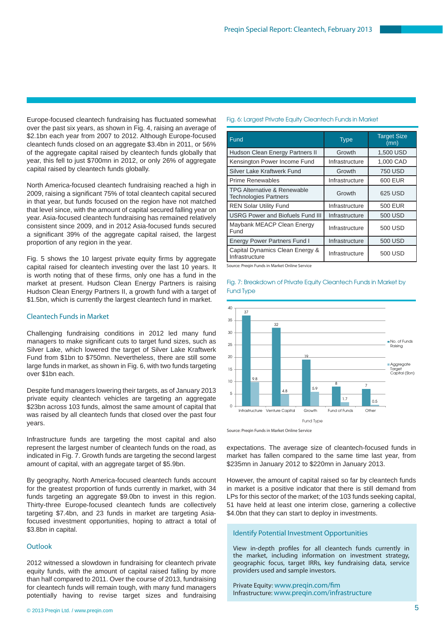Europe-focused cleantech fundraising has fluctuated somewhat over the past six years, as shown in Fig. 4, raising an average of \$2.1bn each year from 2007 to 2012. Although Europe-focused cleantech funds closed on an aggregate \$3.4bn in 2011, or 56% of the aggregate capital raised by cleantech funds globally that year, this fell to just \$700mn in 2012, or only 26% of aggregate capital raised by cleantech funds globally.

North America-focused cleantech fundraising reached a high in 2009, raising a significant 75% of total cleantech capital secured in that year, but funds focused on the region have not matched that level since, with the amount of capital secured falling year on year. Asia-focused cleantech fundraising has remained relatively consistent since 2009, and in 2012 Asia-focused funds secured a significant 39% of the aggregate capital raised, the largest proportion of any region in the year.

Fig. 5 shows the 10 largest private equity firms by aggregate capital raised for cleantech investing over the last 10 years. It is worth noting that of these firms, only one has a fund in the market at present. Hudson Clean Energy Partners is raising Hudson Clean Energy Partners II, a growth fund with a target of \$1.5bn, which is currently the largest cleantech fund in market.

#### Cleantech Funds in Market

Challenging fundraising conditions in 2012 led many fund managers to make significant cuts to target fund sizes, such as Silver Lake, which lowered the target of Silver Lake Kraftwerk Fund from \$1bn to \$750mn. Nevertheless, there are still some large funds in market, as shown in Fig. 6, with two funds targeting over \$1bn each.

Despite fund managers lowering their targets, as of January 2013 private equity cleantech vehicles are targeting an aggregate \$23bn across 103 funds, almost the same amount of capital that was raised by all cleantech funds that closed over the past four years.

Infrastructure funds are targeting the most capital and also represent the largest number of cleantech funds on the road, as indicated in Fig. 7. Growth funds are targeting the second largest amount of capital, with an aggregate target of \$5.9bn.

By geography, North America-focused cleantech funds account for the greatest proportion of funds currently in market, with 34 funds targeting an aggregate \$9.0bn to invest in this region. Thirty-three Europe-focused cleantech funds are collectively targeting \$7.4bn, and 23 funds in market are targeting Asiafocused investment opportunities, hoping to attract a total of \$3.8bn in capital.

#### **Outlook**

2012 witnessed a slowdown in fundraising for cleantech private equity funds, with the amount of capital raised falling by more than half compared to 2011. Over the course of 2013, fundraising for cleantech funds will remain tough, with many fund managers potentially having to revise target sizes and fundraising

| Fund                                                                   | <b>Type</b>    | <b>Target Size</b><br>(mn) |
|------------------------------------------------------------------------|----------------|----------------------------|
| Hudson Clean Energy Partners II                                        | Growth         | 1,500 USD                  |
| Kensington Power Income Fund                                           | Infrastructure | 1,000 CAD                  |
| Silver Lake Kraftwerk Fund                                             | Growth         | <b>750 USD</b>             |
| <b>Prime Renewables</b>                                                | Infrastructure | 600 EUR                    |
| <b>TPG Alternative &amp; Renewable</b><br><b>Technologies Partners</b> | Growth         | 625 USD                    |
| <b>REN Solar Utility Fund</b>                                          | Infrastructure | 500 EUR                    |
| <b>USRG Power and Biofuels Fund III</b>                                | Infrastructure | 500 USD                    |
| Maybank MEACP Clean Energy<br>Fund                                     | Infrastructure | 500 USD                    |
| <b>Energy Power Partners Fund I</b>                                    | Infrastructure | 500 USD                    |
| Capital Dynamics Clean Energy &<br>Infrastructure                      | Infrastructure | 500 USD                    |

Source: Pregin Funds in Market Online Service

Fig. 7: Breakdown of Private Equity Cleantech Funds in Market by Fund Type



Source: Preqin Funds in Market Online Service

expectations. The average size of cleantech-focused funds in market has fallen compared to the same time last year, from \$235mn in January 2012 to \$220mn in January 2013.

However, the amount of capital raised so far by cleantech funds in market is a positive indicator that there is still demand from LPs for this sector of the market; of the 103 funds seeking capital, 51 have held at least one interim close, garnering a collective \$4.0bn that they can start to deploy in investments.

#### Identify Potential Investment Opportunities

View in-depth profiles for all cleantech funds currently in the market, including information on investment strategy, geographic focus, target IRRs, key fundraising data, service providers used and sample investors.

Private Equity: www.preqin.com/fim Infrastructure: www.preqin.com/infrastructure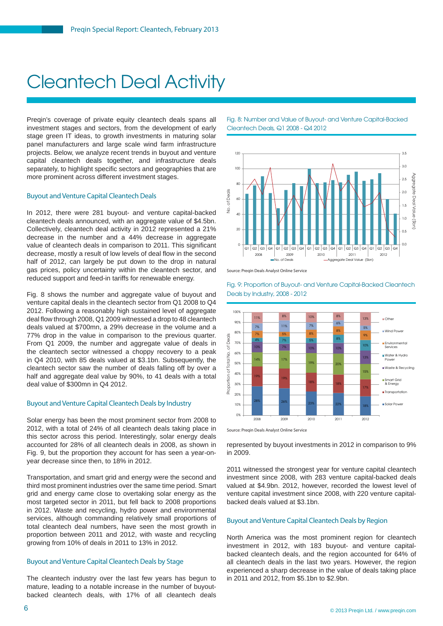# Cleantech Deal Activity

Preqin's coverage of private equity cleantech deals spans all investment stages and sectors, from the development of early stage green IT ideas, to growth investments in maturing solar panel manufacturers and large scale wind farm infrastructure projects. Below, we analyze recent trends in buyout and venture capital cleantech deals together, and infrastructure deals separately, to highlight specific sectors and geographies that are more prominent across different investment stages.

#### Buyout and Venture Capital Cleantech Deals

In 2012, there were 281 buyout- and venture capital-backed cleantech deals announced, with an aggregate value of \$4.5bn. Collectively, cleantech deal activity in 2012 represented a 21% decrease in the number and a 44% decrease in aggregate value of cleantech deals in comparison to 2011. This significant decrease, mostly a result of low levels of deal flow in the second half of 2012, can largely be put down to the drop in natural gas prices, policy uncertainty within the cleantech sector, and reduced support and feed-in tariffs for renewable energy.

Fig. 8 shows the number and aggregate value of buyout and venture capital deals in the cleantech sector from Q1 2008 to Q4 2012. Following a reasonably high sustained level of aggregate deal flow through 2008, Q1 2009 witnessed a drop to 48 cleantech deals valued at \$700mn, a 29% decrease in the volume and a 77% drop in the value in comparison to the previous quarter. From Q1 2009, the number and aggregate value of deals in the cleantech sector witnessed a choppy recovery to a peak in Q4 2010, with 85 deals valued at \$3.1bn. Subsequently, the cleantech sector saw the number of deals falling off by over a half and aggregate deal value by 90%, to 41 deals with a total deal value of \$300mn in Q4 2012.

#### Buyout and Venture Capital Cleantech Deals by Industry

Solar energy has been the most prominent sector from 2008 to 2012, with a total of 24% of all cleantech deals taking place in this sector across this period. Interestingly, solar energy deals accounted for 28% of all cleantech deals in 2008, as shown in Fig. 9, but the proportion they account for has seen a year-onyear decrease since then, to 18% in 2012.

Transportation, and smart grid and energy were the second and third most prominent industries over the same time period. Smart grid and energy came close to overtaking solar energy as the most targeted sector in 2011, but fell back to 2008 proportions in 2012. Waste and recycling, hydro power and environmental services, although commanding relatively small proportions of total cleantech deal numbers, have seen the most growth in proportion between 2011 and 2012, with waste and recycling growing from 10% of deals in 2011 to 13% in 2012.

#### Buyout and Venture Capital Cleantech Deals by Stage

The cleantech industry over the last few years has begun to mature, leading to a notable increase in the number of buyoutbacked cleantech deals, with 17% of all cleantech deals Fig. 8: Number and Value of Buyout- and Venture Capital-Backed Cleantech Deals, Q1 2008 - Q4 2012



Source: Pregin Deals Analyst Online Service

Fig. 9: Proportion of Buyout- and Venture Capital-Backed Cleantech Deals by Industry, 2008 - 2012



Source: Pregin Deals Analyst Online Service

represented by buyout investments in 2012 in comparison to 9% in 2009.

2011 witnessed the strongest year for venture capital cleantech investment since 2008, with 283 venture capital-backed deals valued at \$4.9bn. 2012, however, recorded the lowest level of venture capital investment since 2008, with 220 venture capitalbacked deals valued at \$3.1bn.

#### Buyout and Venture Capital Cleantech Deals by Region

North America was the most prominent region for cleantech investment in 2012, with 183 buyout- and venture capitalbacked cleantech deals, and the region accounted for 64% of all cleantech deals in the last two years. However, the region experienced a sharp decrease in the value of deals taking place in 2011 and 2012, from \$5.1bn to \$2.9bn.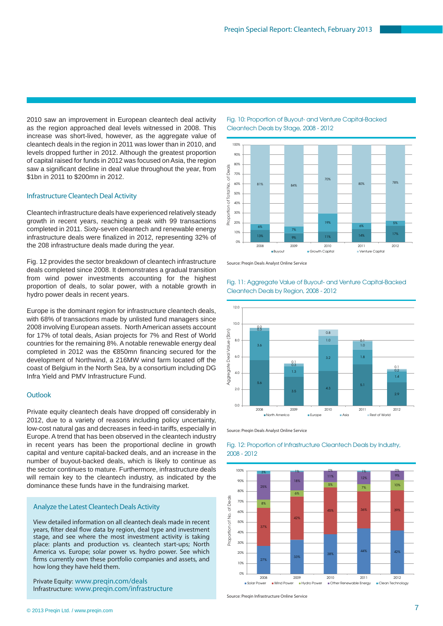2010 saw an improvement in European cleantech deal activity as the region approached deal levels witnessed in 2008. This increase was short-lived, however, as the aggregate value of cleantech deals in the region in 2011 was lower than in 2010, and levels dropped further in 2012. Although the greatest proportion of capital raised for funds in 2012 was focused on Asia, the region saw a significant decline in deal value throughout the year, from \$1bn in 2011 to \$200mn in 2012.

#### Infrastructure Cleantech Deal Activity

Cleantech infrastructure deals have experienced relatively steady growth in recent years, reaching a peak with 99 transactions completed in 2011. Sixty-seven cleantech and renewable energy infrastructure deals were finalized in 2012, representing 32% of the 208 infrastructure deals made during the year.

Fig. 12 provides the sector breakdown of cleantech infrastructure deals completed since 2008. It demonstrates a gradual transition from wind power investments accounting for the highest proportion of deals, to solar power, with a notable growth in hydro power deals in recent years.

Europe is the dominant region for infrastructure cleantech deals, with 68% of transactions made by unlisted fund managers since 2008 involving European assets. North American assets account for 17% of total deals, Asian projects for 7% and Rest of World countries for the remaining 8%. A notable renewable energy deal completed in 2012 was the  $€850$ mn financing secured for the development of Northwind, a 216MW wind farm located off the coast of Belgium in the North Sea, by a consortium including DG Infra Yield and PMV Infrastructure Fund.

#### **Outlook**

Private equity cleantech deals have dropped off considerably in 2012, due to a variety of reasons including policy uncertainty, low-cost natural gas and decreases in feed-in tariffs, especially in Europe. A trend that has been observed in the cleantech industry in recent years has been the proportional decline in growth capital and venture capital-backed deals, and an increase in the number of buyout-backed deals, which is likely to continue as the sector continues to mature. Furthermore, infrastructure deals will remain key to the cleantech industry, as indicated by the dominance these funds have in the fundraising market.

#### Analyze the Latest Cleantech Deals Activity

View detailed information on all cleantech deals made in recent years, filter deal flow data by region, deal type and investment stage, and see where the most investment activity is taking place: plants and production vs. cleantech start-ups; North America vs. Europe; solar power vs. hydro power. See which firms currently own these portfolio companies and assets, and how long they have held them.

Private Equity: www.preqin.com/deals Infrastructure: www.preqin.com/infrastructure Fig. 10: Proportion of Buyout- and Venture Capital-Backed Cleantech Deals by Stage, 2008 - 2012



Source: Preqin Deals Analyst Online Service



Fig. 11: Aggregate Value of Buyout- and Venture Capital-Backed Cleantech Deals by Region, 2008 - 2012

Source: Preqin Deals Analyst Online Service



#### Fig. 12: Proportion of Infrastructure Cleantech Deals by Industry, 2008 - 2012

Source: Preqin Infrastructure Online Service